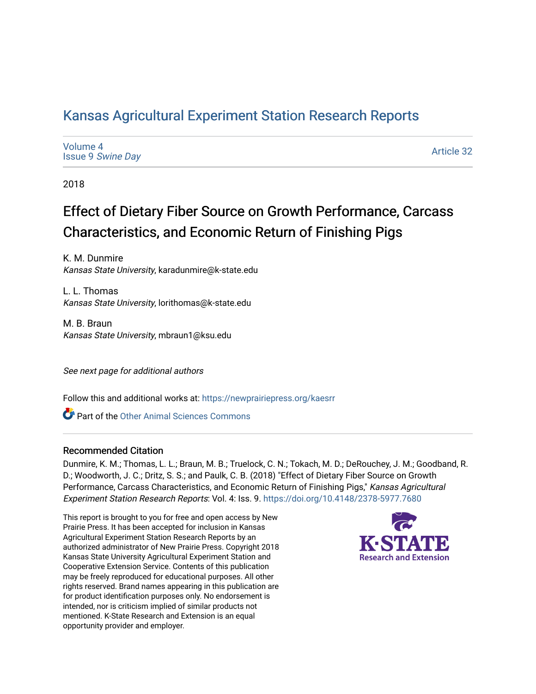## [Kansas Agricultural Experiment Station Research Reports](https://newprairiepress.org/kaesrr)

| Volume 4                 |  |
|--------------------------|--|
| <b>Issue 9 Swine Day</b> |  |

[Article 32](https://newprairiepress.org/kaesrr/vol4/iss9/32) 

2018

# Effect of Dietary Fiber Source on Growth Performance, Carcass Characteristics, and Economic Return of Finishing Pigs

K. M. Dunmire Kansas State University, karadunmire@k-state.edu

L. L. Thomas Kansas State University, lorithomas@k-state.edu

M. B. Braun Kansas State University, mbraun1@ksu.edu

See next page for additional authors

Follow this and additional works at: [https://newprairiepress.org/kaesrr](https://newprairiepress.org/kaesrr?utm_source=newprairiepress.org%2Fkaesrr%2Fvol4%2Fiss9%2F32&utm_medium=PDF&utm_campaign=PDFCoverPages) 

Part of the [Other Animal Sciences Commons](http://network.bepress.com/hgg/discipline/82?utm_source=newprairiepress.org%2Fkaesrr%2Fvol4%2Fiss9%2F32&utm_medium=PDF&utm_campaign=PDFCoverPages)

#### Recommended Citation

Dunmire, K. M.; Thomas, L. L.; Braun, M. B.; Truelock, C. N.; Tokach, M. D.; DeRouchey, J. M.; Goodband, R. D.; Woodworth, J. C.; Dritz, S. S.; and Paulk, C. B. (2018) "Effect of Dietary Fiber Source on Growth Performance, Carcass Characteristics, and Economic Return of Finishing Pigs," Kansas Agricultural Experiment Station Research Reports: Vol. 4: Iss. 9. <https://doi.org/10.4148/2378-5977.7680>

This report is brought to you for free and open access by New Prairie Press. It has been accepted for inclusion in Kansas Agricultural Experiment Station Research Reports by an authorized administrator of New Prairie Press. Copyright 2018 Kansas State University Agricultural Experiment Station and Cooperative Extension Service. Contents of this publication may be freely reproduced for educational purposes. All other rights reserved. Brand names appearing in this publication are for product identification purposes only. No endorsement is intended, nor is criticism implied of similar products not mentioned. K-State Research and Extension is an equal opportunity provider and employer.

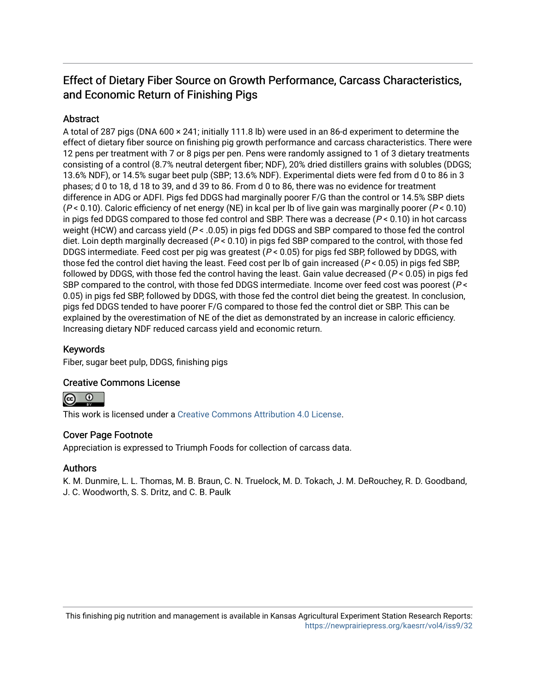## Effect of Dietary Fiber Source on Growth Performance, Carcass Characteristics, and Economic Return of Finishing Pigs

#### **Abstract**

A total of 287 pigs (DNA 600 × 241; initially 111.8 lb) were used in an 86-d experiment to determine the effect of dietary fiber source on finishing pig growth performance and carcass characteristics. There were 12 pens per treatment with 7 or 8 pigs per pen. Pens were randomly assigned to 1 of 3 dietary treatments consisting of a control (8.7% neutral detergent fiber; NDF), 20% dried distillers grains with solubles (DDGS; 13.6% NDF), or 14.5% sugar beet pulp (SBP; 13.6% NDF). Experimental diets were fed from d 0 to 86 in 3 phases; d 0 to 18, d 18 to 39, and d 39 to 86. From d 0 to 86, there was no evidence for treatment difference in ADG or ADFI. Pigs fed DDGS had marginally poorer F/G than the control or 14.5% SBP diets  $(P < 0.10)$ . Caloric efficiency of net energy (NE) in kcal per lb of live gain was marginally poorer ( $P < 0.10$ ) in pigs fed DDGS compared to those fed control and SBP. There was a decrease  $(P < 0.10)$  in hot carcass weight (HCW) and carcass yield ( $P < 0.05$ ) in pigs fed DDGS and SBP compared to those fed the control diet. Loin depth marginally decreased (P < 0.10) in pigs fed SBP compared to the control, with those fed DDGS intermediate. Feed cost per pig was greatest ( $P < 0.05$ ) for pigs fed SBP, followed by DDGS, with those fed the control diet having the least. Feed cost per lb of gain increased ( $P < 0.05$ ) in pigs fed SBP, followed by DDGS, with those fed the control having the least. Gain value decreased ( $P < 0.05$ ) in pigs fed SBP compared to the control, with those fed DDGS intermediate. Income over feed cost was poorest ( $P \leq$ 0.05) in pigs fed SBP, followed by DDGS, with those fed the control diet being the greatest. In conclusion, pigs fed DDGS tended to have poorer F/G compared to those fed the control diet or SBP. This can be explained by the overestimation of NE of the diet as demonstrated by an increase in caloric efficiency. Increasing dietary NDF reduced carcass yield and economic return.

#### Keywords

Fiber, sugar beet pulp, DDGS, finishing pigs

#### Creative Commons License



This work is licensed under a [Creative Commons Attribution 4.0 License](https://creativecommons.org/licenses/by/4.0/).

#### Cover Page Footnote

Appreciation is expressed to Triumph Foods for collection of carcass data.

#### Authors

K. M. Dunmire, L. L. Thomas, M. B. Braun, C. N. Truelock, M. D. Tokach, J. M. DeRouchey, R. D. Goodband, J. C. Woodworth, S. S. Dritz, and C. B. Paulk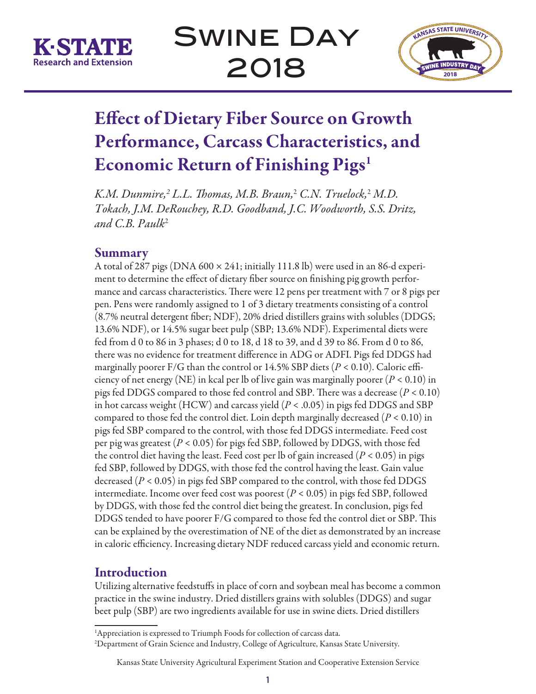



# Effect of Dietary Fiber Source on Growth Performance, Carcass Characteristics, and Economic Return of Finishing Pigs<sup>1</sup>

K.M. Dunmire,<sup>2</sup> L.L. Thomas, M.B. Braun,<sup>2</sup> C.N. Truelock,<sup>2</sup> M.D. *Tokach, J.M. DeRouchey, R.D. Goodband, J.C. Woodworth, S.S. Dritz, and C.B. Paulk*<sup>2</sup>

## Summary

A total of 287 pigs (DNA  $600 \times 241$ ; initially 111.8 lb) were used in an 86-d experiment to determine the effect of dietary fiber source on finishing pig growth performance and carcass characteristics. There were 12 pens per treatment with 7 or 8 pigs per pen. Pens were randomly assigned to 1 of 3 dietary treatments consisting of a control (8.7% neutral detergent fiber; NDF), 20% dried distillers grains with solubles (DDGS; 13.6% NDF), or 14.5% sugar beet pulp (SBP; 13.6% NDF). Experimental diets were fed from d 0 to 86 in 3 phases; d 0 to 18, d 18 to 39, and d 39 to 86. From d 0 to 86, there was no evidence for treatment difference in ADG or ADFI. Pigs fed DDGS had marginally poorer F/G than the control or 14.5% SBP diets (*P* < 0.10). Caloric efficiency of net energy (NE) in kcal per lb of live gain was marginally poorer (*P* < 0.10) in pigs fed DDGS compared to those fed control and SBP. There was a decrease (*P* < 0.10) in hot carcass weight (HCW) and carcass yield (*P* < .0.05) in pigs fed DDGS and SBP compared to those fed the control diet. Loin depth marginally decreased (*P* < 0.10) in pigs fed SBP compared to the control, with those fed DDGS intermediate. Feed cost per pig was greatest (*P* < 0.05) for pigs fed SBP, followed by DDGS, with those fed the control diet having the least. Feed cost per lb of gain increased ( $P < 0.05$ ) in pigs fed SBP, followed by DDGS, with those fed the control having the least. Gain value decreased (*P* < 0.05) in pigs fed SBP compared to the control, with those fed DDGS intermediate. Income over feed cost was poorest (*P* < 0.05) in pigs fed SBP, followed by DDGS, with those fed the control diet being the greatest. In conclusion, pigs fed DDGS tended to have poorer F/G compared to those fed the control diet or SBP. This can be explained by the overestimation of NE of the diet as demonstrated by an increase in caloric efficiency. Increasing dietary NDF reduced carcass yield and economic return.

## Introduction

Utilizing alternative feedstuffs in place of corn and soybean meal has become a common practice in the swine industry. Dried distillers grains with solubles (DDGS) and sugar beet pulp (SBP) are two ingredients available for use in swine diets. Dried distillers

<sup>&</sup>lt;sup>1</sup>Appreciation is expressed to Triumph Foods for collection of carcass data. 2 Department of Grain Science and Industry, College of Agriculture, Kansas State University.

Kansas State University Agricultural Experiment Station and Cooperative Extension Service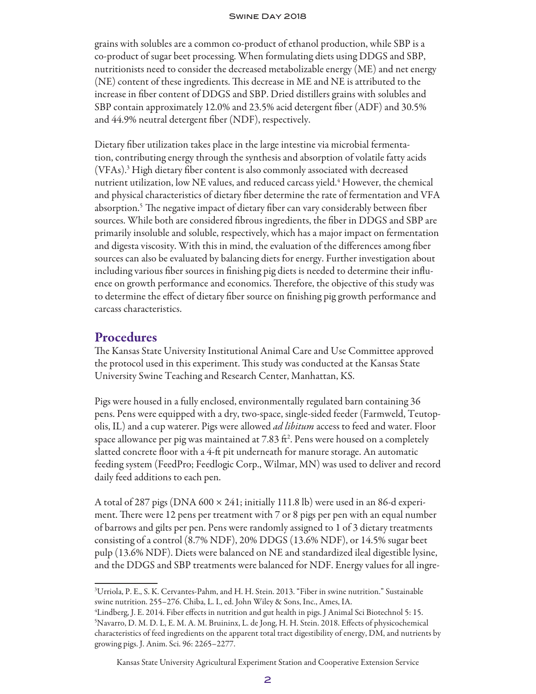grains with solubles are a common co-product of ethanol production, while SBP is a co-product of sugar beet processing. When formulating diets using DDGS and SBP, nutritionists need to consider the decreased metabolizable energy (ME) and net energy (NE) content of these ingredients. This decrease in ME and NE is attributed to the increase in fiber content of DDGS and SBP. Dried distillers grains with solubles and SBP contain approximately 12.0% and 23.5% acid detergent fiber (ADF) and 30.5% and 44.9% neutral detergent fiber (NDF), respectively.

Dietary fiber utilization takes place in the large intestine via microbial fermentation, contributing energy through the synthesis and absorption of volatile fatty acids (VFAs).3 High dietary fiber content is also commonly associated with decreased nutrient utilization, low NE values, and reduced carcass yield.<sup>4</sup> However, the chemical and physical characteristics of dietary fiber determine the rate of fermentation and VFA absorption.5 The negative impact of dietary fiber can vary considerably between fiber sources. While both are considered fibrous ingredients, the fiber in DDGS and SBP are primarily insoluble and soluble, respectively, which has a major impact on fermentation and digesta viscosity. With this in mind, the evaluation of the differences among fiber sources can also be evaluated by balancing diets for energy. Further investigation about including various fiber sources in finishing pig diets is needed to determine their influence on growth performance and economics. Therefore, the objective of this study was to determine the effect of dietary fiber source on finishing pig growth performance and carcass characteristics.

### **Procedures**

The Kansas State University Institutional Animal Care and Use Committee approved the protocol used in this experiment. This study was conducted at the Kansas State University Swine Teaching and Research Center, Manhattan, KS.

Pigs were housed in a fully enclosed, environmentally regulated barn containing 36 pens. Pens were equipped with a dry, two-space, single-sided feeder (Farmweld, Teutopolis, IL) and a cup waterer. Pigs were allowed *ad libitum* access to feed and water. Floor space allowance per pig was maintained at 7.83 ft². Pens were housed on a completely slatted concrete floor with a 4-ft pit underneath for manure storage. An automatic feeding system (FeedPro; Feedlogic Corp., Wilmar, MN) was used to deliver and record daily feed additions to each pen.

A total of 287 pigs (DNA  $600 \times 241$ ; initially 111.8 lb) were used in an 86-d experiment. There were 12 pens per treatment with 7 or 8 pigs per pen with an equal number of barrows and gilts per pen. Pens were randomly assigned to 1 of 3 dietary treatments consisting of a control (8.7% NDF), 20% DDGS (13.6% NDF), or 14.5% sugar beet pulp (13.6% NDF). Diets were balanced on NE and standardized ileal digestible lysine, and the DDGS and SBP treatments were balanced for NDF. Energy values for all ingre-

<sup>3</sup> Urriola, P. E., S. K. Cervantes-Pahm, and H. H. Stein. 2013. "Fiber in swine nutrition." Sustainable swine nutrition. 255–276. Chiba, L. I., ed. John Wiley & Sons, Inc., Ames, IA.

<sup>4</sup> Lindberg, J. E. 2014. Fiber effects in nutrition and gut health in pigs. J Animal Sci Biotechnol 5: 15. 5 Navarro, D. M. D. L, E. M. A. M. Bruininx, L. de Jong, H. H. Stein. 2018. Effects of physicochemical characteristics of feed ingredients on the apparent total tract digestibility of energy, DM, and nutrients by growing pigs. J. Anim. Sci. 96: 2265–2277.

Kansas State University Agricultural Experiment Station and Cooperative Extension Service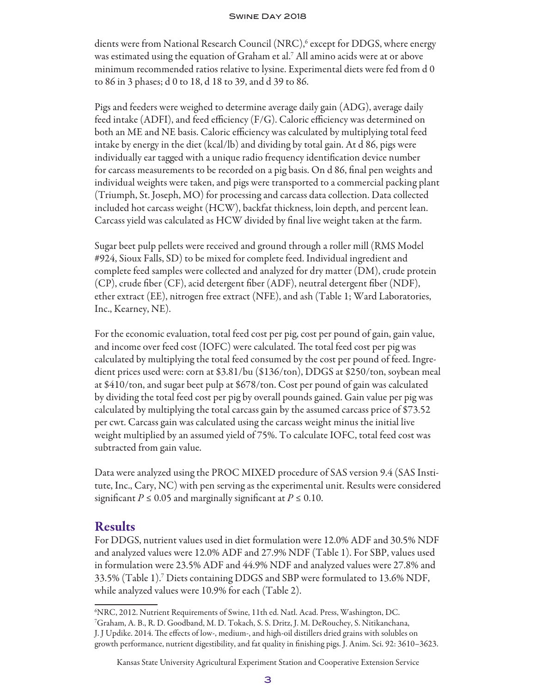dients were from National Research Council (NRC),<sup>6</sup> except for DDGS, where energy was estimated using the equation of Graham et al.7 All amino acids were at or above minimum recommended ratios relative to lysine. Experimental diets were fed from d 0 to 86 in 3 phases; d 0 to 18, d 18 to 39, and d 39 to 86.

Pigs and feeders were weighed to determine average daily gain (ADG), average daily feed intake (ADFI), and feed efficiency (F/G). Caloric efficiency was determined on both an ME and NE basis. Caloric efficiency was calculated by multiplying total feed intake by energy in the diet (kcal/lb) and dividing by total gain. At d 86, pigs were individually ear tagged with a unique radio frequency identification device number for carcass measurements to be recorded on a pig basis. On d 86, final pen weights and individual weights were taken, and pigs were transported to a commercial packing plant (Triumph, St. Joseph, MO) for processing and carcass data collection. Data collected included hot carcass weight (HCW), backfat thickness, loin depth, and percent lean. Carcass yield was calculated as HCW divided by final live weight taken at the farm.

Sugar beet pulp pellets were received and ground through a roller mill (RMS Model #924, Sioux Falls, SD) to be mixed for complete feed. Individual ingredient and complete feed samples were collected and analyzed for dry matter (DM), crude protein (CP), crude fiber (CF), acid detergent fiber (ADF), neutral detergent fiber (NDF), ether extract (EE), nitrogen free extract (NFE), and ash (Table 1; Ward Laboratories, Inc., Kearney, NE).

For the economic evaluation, total feed cost per pig, cost per pound of gain, gain value, and income over feed cost (IOFC) were calculated. The total feed cost per pig was calculated by multiplying the total feed consumed by the cost per pound of feed. Ingredient prices used were: corn at \$3.81/bu (\$136/ton), DDGS at \$250/ton, soybean meal at \$410/ton, and sugar beet pulp at \$678/ton. Cost per pound of gain was calculated by dividing the total feed cost per pig by overall pounds gained. Gain value per pig was calculated by multiplying the total carcass gain by the assumed carcass price of \$73.52 per cwt. Carcass gain was calculated using the carcass weight minus the initial live weight multiplied by an assumed yield of 75%. To calculate IOFC, total feed cost was subtracted from gain value.

Data were analyzed using the PROC MIXED procedure of SAS version 9.4 (SAS Institute, Inc., Cary, NC) with pen serving as the experimental unit. Results were considered significant  $P \le 0.05$  and marginally significant at  $P \le 0.10$ .

#### Results

For DDGS, nutrient values used in diet formulation were 12.0% ADF and 30.5% NDF and analyzed values were 12.0% ADF and 27.9% NDF (Table 1). For SBP, values used in formulation were 23.5% ADF and 44.9% NDF and analyzed values were 27.8% and 33.5% (Table 1).7 Diets containing DDGS and SBP were formulated to 13.6% NDF, while analyzed values were 10.9% for each (Table 2).

<sup>6</sup> NRC, 2012. Nutrient Requirements of Swine, 11th ed. Natl. Acad. Press, Washington, DC.

<sup>7</sup> Graham, A. B., R. D. Goodband, M. D. Tokach, S. S. Dritz, J. M. DeRouchey, S. Nitikanchana, J. J Updike. 2014. The effects of low-, medium-, and high-oil distillers dried grains with solubles on growth performance, nutrient digestibility, and fat quality in finishing pigs. J. Anim. Sci. 92: 3610–3623.

Kansas State University Agricultural Experiment Station and Cooperative Extension Service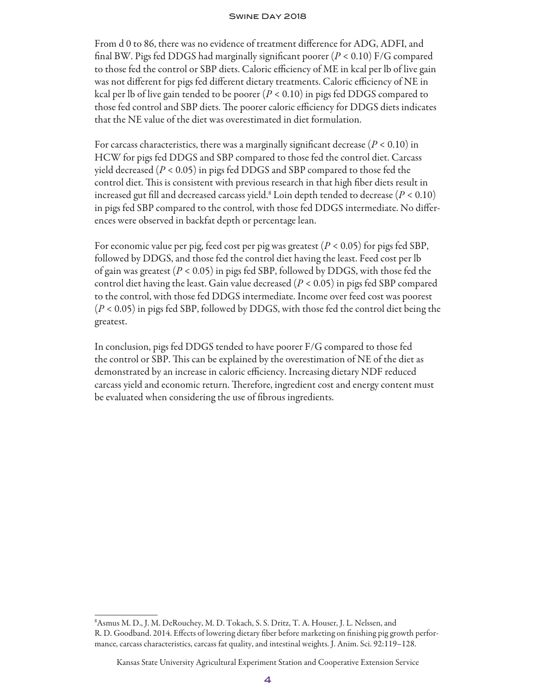From d 0 to 86, there was no evidence of treatment difference for ADG, ADFI, and final BW. Pigs fed DDGS had marginally significant poorer (*P* < 0.10) F/G compared to those fed the control or SBP diets. Caloric efficiency of ME in kcal per lb of live gain was not different for pigs fed different dietary treatments. Caloric efficiency of NE in kcal per lb of live gain tended to be poorer (*P* < 0.10) in pigs fed DDGS compared to those fed control and SBP diets. The poorer caloric efficiency for DDGS diets indicates that the NE value of the diet was overestimated in diet formulation.

For carcass characteristics, there was a marginally significant decrease  $(P < 0.10)$  in HCW for pigs fed DDGS and SBP compared to those fed the control diet. Carcass yield decreased (*P* < 0.05) in pigs fed DDGS and SBP compared to those fed the control diet. This is consistent with previous research in that high fiber diets result in increased gut fill and decreased carcass yield.8 Loin depth tended to decrease (*P* < 0.10) in pigs fed SBP compared to the control, with those fed DDGS intermediate. No differences were observed in backfat depth or percentage lean.

For economic value per pig, feed cost per pig was greatest (*P* < 0.05) for pigs fed SBP, followed by DDGS, and those fed the control diet having the least. Feed cost per lb of gain was greatest (*P* < 0.05) in pigs fed SBP, followed by DDGS, with those fed the control diet having the least. Gain value decreased (*P* < 0.05) in pigs fed SBP compared to the control, with those fed DDGS intermediate. Income over feed cost was poorest (*P* < 0.05) in pigs fed SBP, followed by DDGS, with those fed the control diet being the greatest.

In conclusion, pigs fed DDGS tended to have poorer F/G compared to those fed the control or SBP. This can be explained by the overestimation of NE of the diet as demonstrated by an increase in caloric efficiency. Increasing dietary NDF reduced carcass yield and economic return. Therefore, ingredient cost and energy content must be evaluated when considering the use of fibrous ingredients.

<sup>8</sup> Asmus M. D., J. M. DeRouchey, M. D. Tokach, S. S. Dritz, T. A. Houser, J. L. Nelssen, and R. D. Goodband. 2014. Effects of lowering dietary fiber before marketing on finishing pig growth performance, carcass characteristics, carcass fat quality, and intestinal weights. J. Anim. Sci. 92:119–128.

Kansas State University Agricultural Experiment Station and Cooperative Extension Service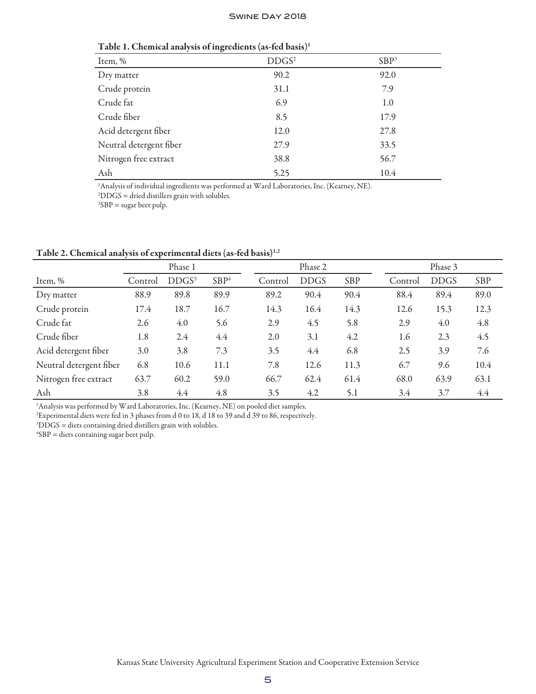| $\sigma$                |                   |                  |
|-------------------------|-------------------|------------------|
| Item, %                 | DDGS <sup>2</sup> | SBP <sup>3</sup> |
| Dry matter              | 90.2              | 92.0             |
| Crude protein           | 31.1              | 7.9              |
| Crude fat               | 6.9               | 1.0              |
| Crude fiber             | 8.5               | 17.9             |
| Acid detergent fiber    | 12.0              | 27.8             |
| Neutral detergent fiber | 27.9              | 33.5             |
| Nitrogen free extract   | 38.8              | 56.7             |
| Ash                     | 5.25              | 10.4             |
|                         |                   |                  |

Table 1. Chemical analysis of ingredients (as-fed basis)1

<sup>1</sup>Analysis of individual ingredients was performed at Ward Laboratories, Inc. (Kearney, NE).

2 DDGS = dried distillers grain with solubles.

 ${}^{3}SBP$  = sugar beet pulp.

Table 2. Chemical analysis of experimental diets (as-fed basis)<sup>1,2</sup>

|                         | Phase 1 |                   |                  | Phase 2 |             |            | Phase 3 |             |      |
|-------------------------|---------|-------------------|------------------|---------|-------------|------------|---------|-------------|------|
| Item, %                 | Control | DDGS <sup>3</sup> | SBP <sup>4</sup> | Control | <b>DDGS</b> | <b>SBP</b> | Control | <b>DDGS</b> | SBP  |
| Dry matter              | 88.9    | 89.8              | 89.9             | 89.2    | 90.4        | 90.4       | 88.4    | 89.4        | 89.0 |
| Crude protein           | 17.4    | 18.7              | 16.7             | 14.3    | 16.4        | 14.3       | 12.6    | 15.3        | 12.3 |
| Crude fat               | 2.6     | 4.0               | 5.6              | 2.9     | 4.5         | 5.8        | 2.9     | 4.0         | 4.8  |
| Crude fiber             | 1.8     | 2.4               | 4.4              | 2.0     | 3.1         | 4.2        | 1.6     | 2.3         | 4.5  |
| Acid detergent fiber    | 3.0     | 3.8               | 7.3              | 3.5     | 4.4         | 6.8        | 2.5     | 3.9         | 7.6  |
| Neutral detergent fiber | 6.8     | 10.6              | 11.1             | 7.8     | 12.6        | 11.3       | 6.7     | 9.6         | 10.4 |
| Nitrogen free extract   | 63.7    | 60.2              | 59.0             | 66.7    | 62.4        | 61.4       | 68.0    | 63.9        | 63.1 |
| Ash                     | 3.8     | 4.4               | 4.8              | 3.5     | 4.2         | 5.1        | 3.4     | 3.7         | 4.4  |

<sup>1</sup>Analysis was performed by Ward Laboratories, Inc. (Kearney, NE) on pooled diet samples.

 $^{\rm 2}$ Experimental diets were fed in 3 phases from d 0 to 18, d 18 to 39 and d 39 to 86, respectively.

 $3DDGS =$  diets containing dried distillers grain with solubles.

 ${}^{4}SBP$  = diets containing sugar beet pulp.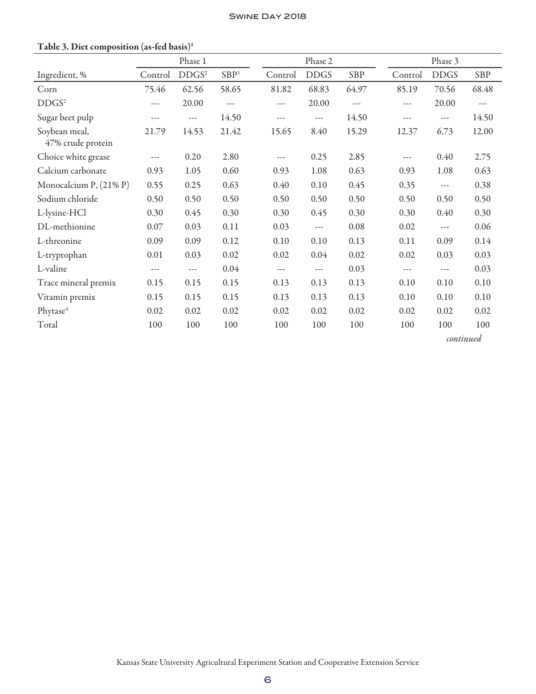|                                    | Phase 1 |                   | Phase 2          |          |             | Phase 3 |         |             |       |
|------------------------------------|---------|-------------------|------------------|----------|-------------|---------|---------|-------------|-------|
| Ingredient, %                      | Control | DDGS <sup>2</sup> | SBP <sup>3</sup> | Control  | <b>DDGS</b> | SBP     | Control | <b>DDGS</b> | SBP   |
| Corn                               | 75.46   | 62.56             | 58.65            | 81.82    | 68.83       | 64.97   | 85.19   | 70.56       | 68.48 |
| DDGS <sup>2</sup>                  | ---     | 20.00             | $\cdots$         | $---$    | 20.00       | $- - -$ | ---     | 20.00       | $---$ |
| Sugar beet pulp                    | ---     | $\cdots$          | 14.50            | $---$    | $---$       | 14.50   | ---     | $---$       | 14.50 |
| Soybean meal,<br>47% crude protein | 21.79   | 14.53             | 21.42            | 15.65    | 8.40        | 15.29   | 12.37   | 6.73        | 12.00 |
| Choice white grease                | $---$   | 0.20              | 2.80             | $---$    | 0.25        | 2.85    | $---$   | 0.40        | 2.75  |
| Calcium carbonate                  | 0.93    | 1.05              | 0.60             | 0.93     | 1.08        | 0.63    | 0.93    | 1.08        | 0.63  |
| Monocalcium P, $(21\% P)$          | 0.55    | 0.25              | 0.63             | 0.40     | 0.10        | 0.45    | 0.35    | ---         | 0.38  |
| Sodium chloride                    | 0.50    | 0.50              | 0.50             | 0.50     | 0.50        | 0.50    | 0.50    | 0.50        | 0.50  |
| L-lysine-HCl                       | 0.30    | 0.45              | 0.30             | 0.30     | 0.45        | 0.30    | 0.30    | 0.40        | 0.30  |
| DL-methionine                      | 0.07    | 0.03              | 0.11             | 0.03     | ---         | 0.08    | 0.02    | $---$       | 0.06  |
| L-threonine                        | 0.09    | 0.09              | 0.12             | 0.10     | 0.10        | 0.13    | 0.11    | 0.09        | 0.14  |
| L-tryptophan                       | 0.01    | 0.03              | 0.02             | 0.02     | 0.04        | 0.02    | 0.02    | 0.03        | 0.03  |
| L-valine                           | $---$   | $\cdots$          | 0.04             | $\cdots$ | $---$       | 0.03    | $---$   | $---$       | 0.03  |
| Trace mineral premix               | 0.15    | 0.15              | 0.15             | 0.13     | 0.13        | 0.13    | 0.10    | 0.10        | 0.10  |
| Vitamin premix                     | 0.15    | 0.15              | 0.15             | 0.13     | 0.13        | 0.13    | 0.10    | 0.10        | 0.10  |
| Phytase <sup>4</sup>               | 0.02    | 0.02              | 0.02             | 0.02     | 0.02        | 0.02    | 0.02    | 0.02        | 0.02  |
| Total                              | 100     | 100               | 100              | 100      | 100         | 100     | 100     | 100         | 100   |
|                                    |         |                   |                  |          |             |         |         | continued   |       |

## Table 3. Diet composition (as-fed basis)<sup>1</sup>

Kansas State University Agricultural Experiment Station and Cooperative Extension Service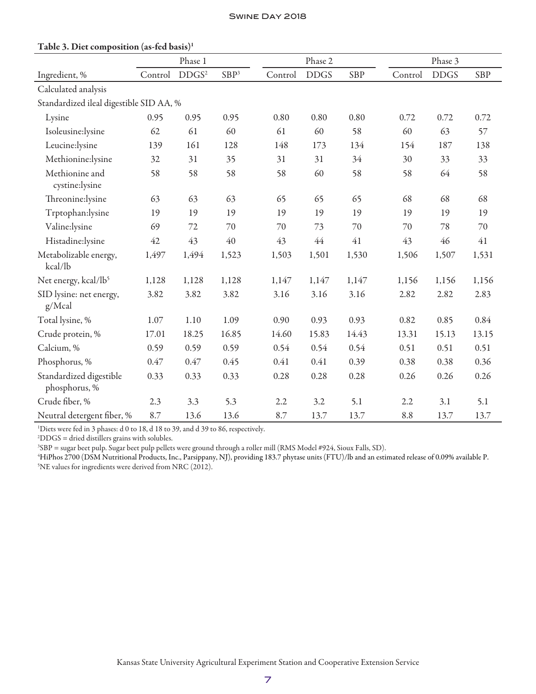|                                          |         | Phase 1           |                  |         | Phase 2     |            | Phase 3 |             |            |
|------------------------------------------|---------|-------------------|------------------|---------|-------------|------------|---------|-------------|------------|
| Ingredient, %                            | Control | DDGS <sup>2</sup> | SBP <sup>3</sup> | Control | <b>DDGS</b> | <b>SBP</b> | Control | <b>DDGS</b> | <b>SBP</b> |
| Calculated analysis                      |         |                   |                  |         |             |            |         |             |            |
| Standardized ileal digestible SID AA, %  |         |                   |                  |         |             |            |         |             |            |
| Lysine                                   | 0.95    | 0.95              | 0.95             | 0.80    | 0.80        | 0.80       | 0.72    | 0.72        | 0.72       |
| Isoleusine:lysine                        | 62      | 61                | 60               | 61      | 60          | 58         | 60      | 63          | 57         |
| Leucine:lysine                           | 139     | 161               | 128              | 148     | 173         | 134        | 154     | 187         | 138        |
| Methionine:lysine                        | 32      | 31                | 35               | 31      | 31          | 34         | 30      | 33          | 33         |
| Methionine and<br>cystine:lysine         | 58      | 58                | 58               | 58      | 60          | 58         | 58      | 64          | 58         |
| Threonine:lysine                         | 63      | 63                | 63               | 65      | 65          | 65         | 68      | 68          | 68         |
| Trptophan:lysine                         | 19      | 19                | 19               | 19      | 19          | 19         | 19      | 19          | 19         |
| Valine:lysine                            | 69      | 72                | 70               | 70      | 73          | 70         | 70      | 78          | 70         |
| Histadine:lysine                         | 42      | 43                | 40               | 43      | 44          | 41         | 43      | 46          | $41\,$     |
| Metabolizable energy,<br>kcal/lb         | 1,497   | 1,494             | 1,523            | 1,503   | 1,501       | 1,530      | 1,506   | 1,507       | 1,531      |
| Net energy, kcal/lb <sup>5</sup>         | 1,128   | 1,128             | 1,128            | 1,147   | 1,147       | 1,147      | 1,156   | 1,156       | 1,156      |
| SID lysine: net energy,<br>g/Mcal        | 3.82    | 3.82              | 3.82             | 3.16    | 3.16        | 3.16       | 2.82    | 2.82        | 2.83       |
| Total lysine, %                          | 1.07    | 1.10              | 1.09             | 0.90    | 0.93        | 0.93       | 0.82    | 0.85        | 0.84       |
| Crude protein, %                         | 17.01   | 18.25             | 16.85            | 14.60   | 15.83       | 14.43      | 13.31   | 15.13       | 13.15      |
| Calcium, %                               | 0.59    | 0.59              | 0.59             | 0.54    | 0.54        | 0.54       | 0.51    | 0.51        | 0.51       |
| Phosphorus, %                            | 0.47    | 0.47              | 0.45             | 0.41    | 0.41        | 0.39       | 0.38    | 0.38        | 0.36       |
| Standardized digestible<br>phosphorus, % | 0.33    | 0.33              | 0.33             | 0.28    | 0.28        | 0.28       | 0.26    | 0.26        | 0.26       |
| Crude fiber, %                           | 2.3     | 3.3               | 5.3              | 2.2     | 3.2         | 5.1        | 2.2     | 3.1         | 5.1        |
| Neutral detergent fiber, %               | 8.7     | 13.6              | 13.6             | 8.7     | 13.7        | 13.7       | 8.8     | 13.7        | 13.7       |

#### Table 3. Diet composition (as-fed basis)1

<sup>1</sup>Diets were fed in 3 phases: d 0 to 18, d 18 to 39, and d 39 to 86, respectively.

2 DDGS = dried distillers grains with solubles.

3 SBP = sugar beet pulp. Sugar beet pulp pellets were ground through a roller mill (RMS Model #924, Sioux Falls, SD).

4 HiPhos 2700 (DSM Nutritional Products, Inc., Parsippany, NJ), providing 183.7 phytase units (FTU)/lb and an estimated release of 0.09% available P. 5 NE values for ingredients were derived from NRC (2012).